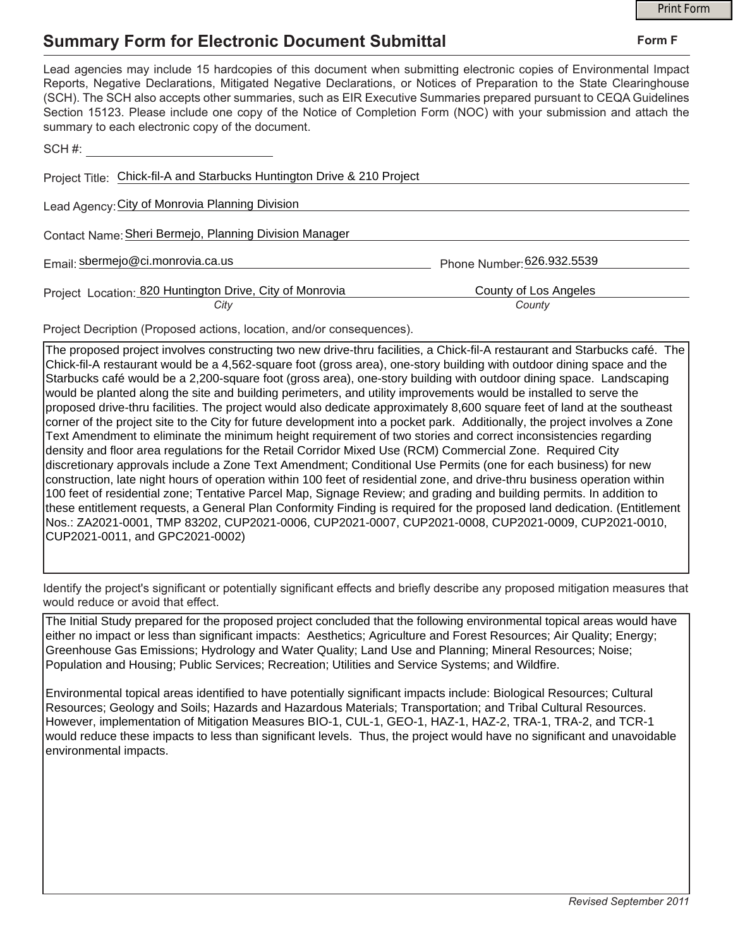## **Summary Form for Electronic Document Submittal**

|                                                                                                                                                                                                                                                                                                                                                                                                                                                                                                                                           |                                 | <b>Print Form</b> |  |
|-------------------------------------------------------------------------------------------------------------------------------------------------------------------------------------------------------------------------------------------------------------------------------------------------------------------------------------------------------------------------------------------------------------------------------------------------------------------------------------------------------------------------------------------|---------------------------------|-------------------|--|
| <b>Summary Form for Electronic Document Submittal</b>                                                                                                                                                                                                                                                                                                                                                                                                                                                                                     |                                 | Form F            |  |
| Lead agencies may include 15 hardcopies of this document when submitting electronic copies of Environmental Impact<br>Reports, Negative Declarations, Mitigated Negative Declarations, or Notices of Preparation to the State Clearinghouse<br>(SCH). The SCH also accepts other summaries, such as EIR Executive Summaries prepared pursuant to CEQA Guidelines<br>Section 15123. Please include one copy of the Notice of Completion Form (NOC) with your submission and attach the<br>summary to each electronic copy of the document. |                                 |                   |  |
| SCH#:                                                                                                                                                                                                                                                                                                                                                                                                                                                                                                                                     |                                 |                   |  |
| Project Title: Chick-fil-A and Starbucks Huntington Drive & 210 Project                                                                                                                                                                                                                                                                                                                                                                                                                                                                   |                                 |                   |  |
| Lead Agency: City of Monrovia Planning Division                                                                                                                                                                                                                                                                                                                                                                                                                                                                                           |                                 |                   |  |
| Contact Name: Sheri Bermejo, Planning Division Manager                                                                                                                                                                                                                                                                                                                                                                                                                                                                                    |                                 |                   |  |
| Email: sbermejo@ci.monrovia.ca.us                                                                                                                                                                                                                                                                                                                                                                                                                                                                                                         | Phone Number: 626.932.5539      |                   |  |
| Project Location: 820 Huntington Drive, City of Monrovia<br>City                                                                                                                                                                                                                                                                                                                                                                                                                                                                          | County of Los Angeles<br>County |                   |  |

Project Decription (Proposed actions, location, and/or consequences).

The proposed project involves constructing two new drive-thru facilities, a Chick-fil-A restaurant and Starbucks café. The Chick-fil-A restaurant would be a 4,562-square foot (gross area), one-story building with outdoor dining space and the Starbucks café would be a 2,200-square foot (gross area), one-story building with outdoor dining space. Landscaping would be planted along the site and building perimeters, and utility improvements would be installed to serve the proposed drive-thru facilities. The project would also dedicate approximately 8,600 square feet of land at the southeast corner of the project site to the City for future development into a pocket park. Additionally, the project involves a Zone Text Amendment to eliminate the minimum height requirement of two stories and correct inconsistencies regarding density and floor area regulations for the Retail Corridor Mixed Use (RCM) Commercial Zone. Required City discretionary approvals include a Zone Text Amendment; Conditional Use Permits (one for each business) for new construction, late night hours of operation within 100 feet of residential zone, and drive-thru business operation within 100 feet of residential zone; Tentative Parcel Map, Signage Review; and grading and building permits. In addition to these entitlement requests, a General Plan Conformity Finding is required for the proposed land dedication. (Entitlement Nos.: ZA2021-0001, TMP 83202, CUP2021-0006, CUP2021-0007, CUP2021-0008, CUP2021-0009, CUP2021-0010, CUP2021-0011, and GPC2021-0002)

Identify the project's significant or potentially significant effects and briefly describe any proposed mitigation measures that would reduce or avoid that effect.

The Initial Study prepared for the proposed project concluded that the following environmental topical areas would have either no impact or less than significant impacts: Aesthetics; Agriculture and Forest Resources; Air Quality; Energy; Greenhouse Gas Emissions; Hydrology and Water Quality; Land Use and Planning; Mineral Resources; Noise; Population and Housing; Public Services; Recreation; Utilities and Service Systems; and Wildfire.

Environmental topical areas identified to have potentially significant impacts include: Biological Resources; Cultural Resources; Geology and Soils; Hazards and Hazardous Materials; Transportation; and Tribal Cultural Resources. However, implementation of Mitigation Measures BIO-1, CUL-1, GEO-1, HAZ-1, HAZ-2, TRA-1, TRA-2, and TCR-1 would reduce these impacts to less than significant levels. Thus, the project would have no significant and unavoidable environmental impacts.